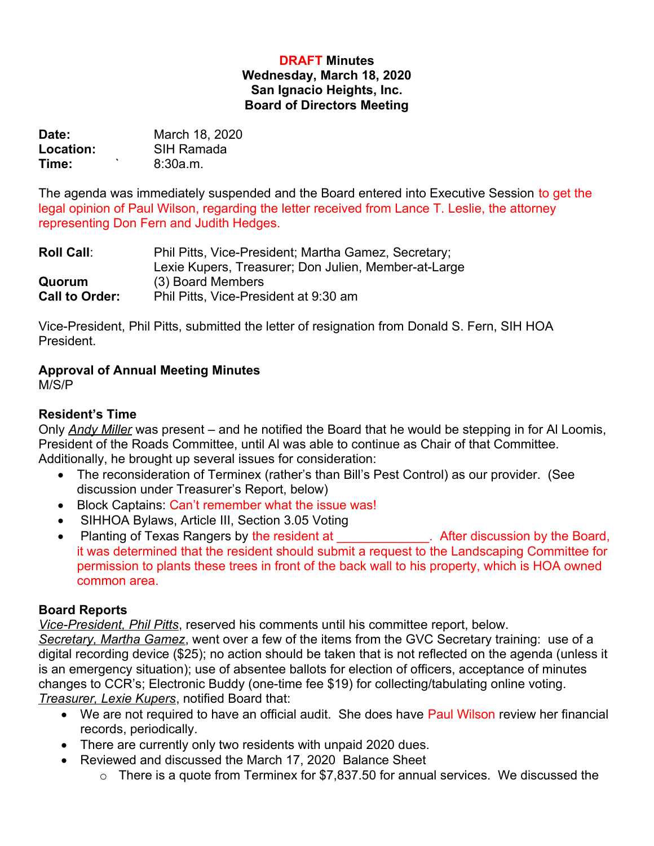### **DRAFT Minutes Wednesday, March 18, 2020 San Ignacio Heights, Inc. Board of Directors Meeting**

| Date:            | March 18, 2020 |
|------------------|----------------|
| <b>Location:</b> | SIH Ramada     |
| $\cdot$<br>Time: | 8:30a.m.       |

The agenda was immediately suspended and the Board entered into Executive Session to get the legal opinion of Paul Wilson, regarding the letter received from Lance T. Leslie, the attorney representing Don Fern and Judith Hedges.

| <b>Roll Call:</b>     | Phil Pitts, Vice-President; Martha Gamez, Secretary; |
|-----------------------|------------------------------------------------------|
|                       | Lexie Kupers, Treasurer; Don Julien, Member-at-Large |
| Quorum                | (3) Board Members                                    |
| <b>Call to Order:</b> | Phil Pitts, Vice-President at 9:30 am                |

Vice-President, Phil Pitts, submitted the letter of resignation from Donald S. Fern, SIH HOA President.

# **Approval of Annual Meeting Minutes**

M/S/P

# **Resident's Time**

Only *Andy Miller* was present – and he notified the Board that he would be stepping in for Al Loomis, President of the Roads Committee, until Al was able to continue as Chair of that Committee. Additionally, he brought up several issues for consideration:

- The reconsideration of Terminex (rather's than Bill's Pest Control) as our provider. (See discussion under Treasurer's Report, below)
- Block Captains: Can't remember what the issue was!
- SIHHOA Bylaws, Article III, Section 3.05 Voting
- Planting of Texas Rangers by the resident at The Roard, After discussion by the Board, it was determined that the resident should submit a request to the Landscaping Committee for permission to plants these trees in front of the back wall to his property, which is HOA owned common area.

# **Board Reports**

*Vice-President, Phil Pitts*, reserved his comments until his committee report, below.

*Secretary, Martha Gamez*, went over a few of the items from the GVC Secretary training: use of a digital recording device (\$25); no action should be taken that is not reflected on the agenda (unless it is an emergency situation); use of absentee ballots for election of officers, acceptance of minutes changes to CCR's; Electronic Buddy (one-time fee \$19) for collecting/tabulating online voting. *Treasurer, Lexie Kupers*, notified Board that:

- We are not required to have an official audit. She does have Paul Wilson review her financial records, periodically.
- There are currently only two residents with unpaid 2020 dues.
- Reviewed and discussed the March 17, 2020 Balance Sheet
	- $\circ$  There is a quote from Terminex for \$7,837.50 for annual services. We discussed the